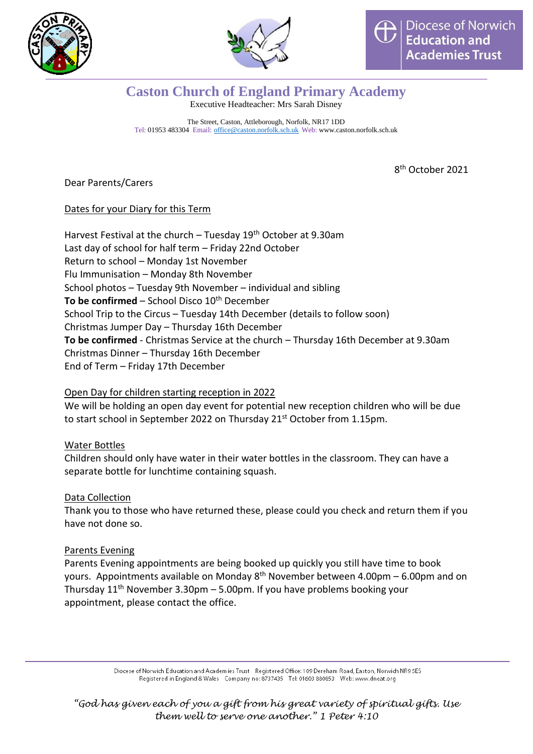



## **Caston Church of England Primary Academy** Executive Headteacher: Mrs Sarah Disney

The Street, Caston, Attleborough, Norfolk, NR17 1DD Tel: 01953 483304 Email: [office@caston.norfolk.sch.uk](mailto:office@caston.norfolk.sch.uk) Web: www.caston.norfolk.sch.uk

8 th October 2021

Dear Parents/Carers

## Dates for your Diary for this Term

Harvest Festival at the church – Tuesday  $19<sup>th</sup>$  October at 9.30am Last day of school for half term – Friday 22nd October Return to school – Monday 1st November Flu Immunisation – Monday 8th November School photos – Tuesday 9th November – individual and sibling **To be confirmed** – School Disco 10<sup>th</sup> December School Trip to the Circus – Tuesday 14th December (details to follow soon) Christmas Jumper Day – Thursday 16th December **To be confirmed** - Christmas Service at the church – Thursday 16th December at 9.30am Christmas Dinner – Thursday 16th December End of Term – Friday 17th December

## Open Day for children starting reception in 2022

We will be holding an open day event for potential new reception children who will be due to start school in September 2022 on Thursday 21<sup>st</sup> October from 1.15pm.

## Water Bottles

Children should only have water in their water bottles in the classroom. They can have a separate bottle for lunchtime containing squash.

#### Data Collection

Thank you to those who have returned these, please could you check and return them if you have not done so.

## Parents Evening

Parents Evening appointments are being booked up quickly you still have time to book yours. Appointments available on Monday 8<sup>th</sup> November between 4.00pm – 6.00pm and on Thursday  $11<sup>th</sup>$  November 3.30pm – 5.00pm. If you have problems booking your appointment, please contact the office.

> Diocese of Norwich Education and Academies Trust Registered Office: 109 Dereham Road, Easton, Norwich NR9 5ES Registered in England & Wales Company no: 8737435 Tel: 01603 880853 Web: www.dneat.org